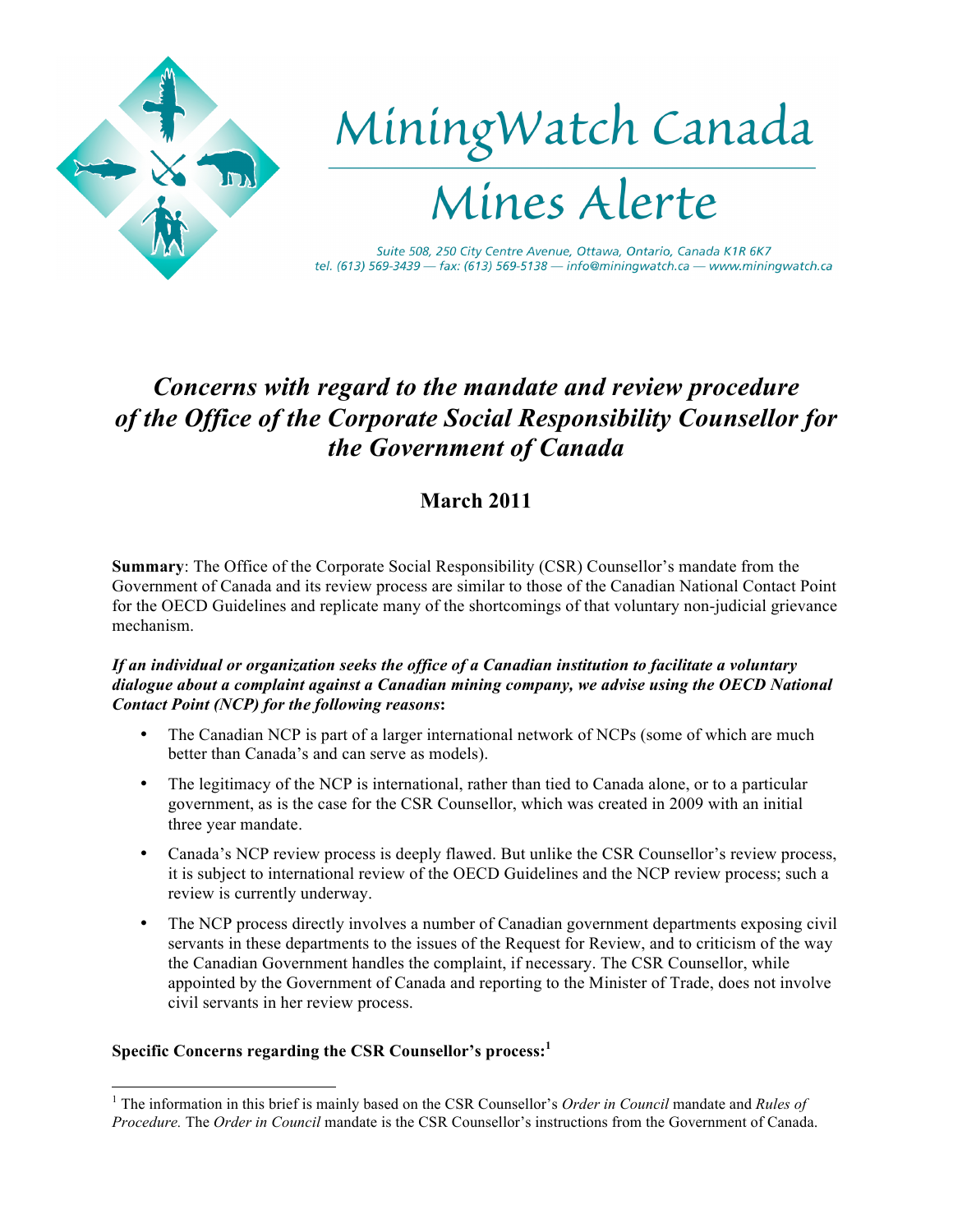

# *Concerns with regard to the mandate and review procedure of the Office of the Corporate Social Responsibility Counsellor for the Government of Canada*

# **March 2011**

**Summary**: The Office of the Corporate Social Responsibility (CSR) Counsellor's mandate from the Government of Canada and its review process are similar to those of the Canadian National Contact Point for the OECD Guidelines and replicate many of the shortcomings of that voluntary non-judicial grievance mechanism.

# *If an individual or organization seeks the office of a Canadian institution to facilitate a voluntary dialogue about a complaint against a Canadian mining company, we advise using the OECD National Contact Point (NCP) for the following reasons***:**

- The Canadian NCP is part of a larger international network of NCPs (some of which are much better than Canada's and can serve as models).
- The legitimacy of the NCP is international, rather than tied to Canada alone, or to a particular government, as is the case for the CSR Counsellor, which was created in 2009 with an initial three year mandate.
- Canada's NCP review process is deeply flawed. But unlike the CSR Counsellor's review process, it is subject to international review of the OECD Guidelines and the NCP review process; such a review is currently underway.
- The NCP process directly involves a number of Canadian government departments exposing civil servants in these departments to the issues of the Request for Review, and to criticism of the way the Canadian Government handles the complaint, if necessary. The CSR Counsellor, while appointed by the Government of Canada and reporting to the Minister of Trade, does not involve civil servants in her review process.

# **Specific Concerns regarding the CSR Counsellor's process: 1**

 <sup>1</sup> The information in this brief is mainly based on the CSR Counsellor's *Order in Council* mandate and *Rules of Procedure.* The *Order in Council* mandate is the CSR Counsellor's instructions from the Government of Canada.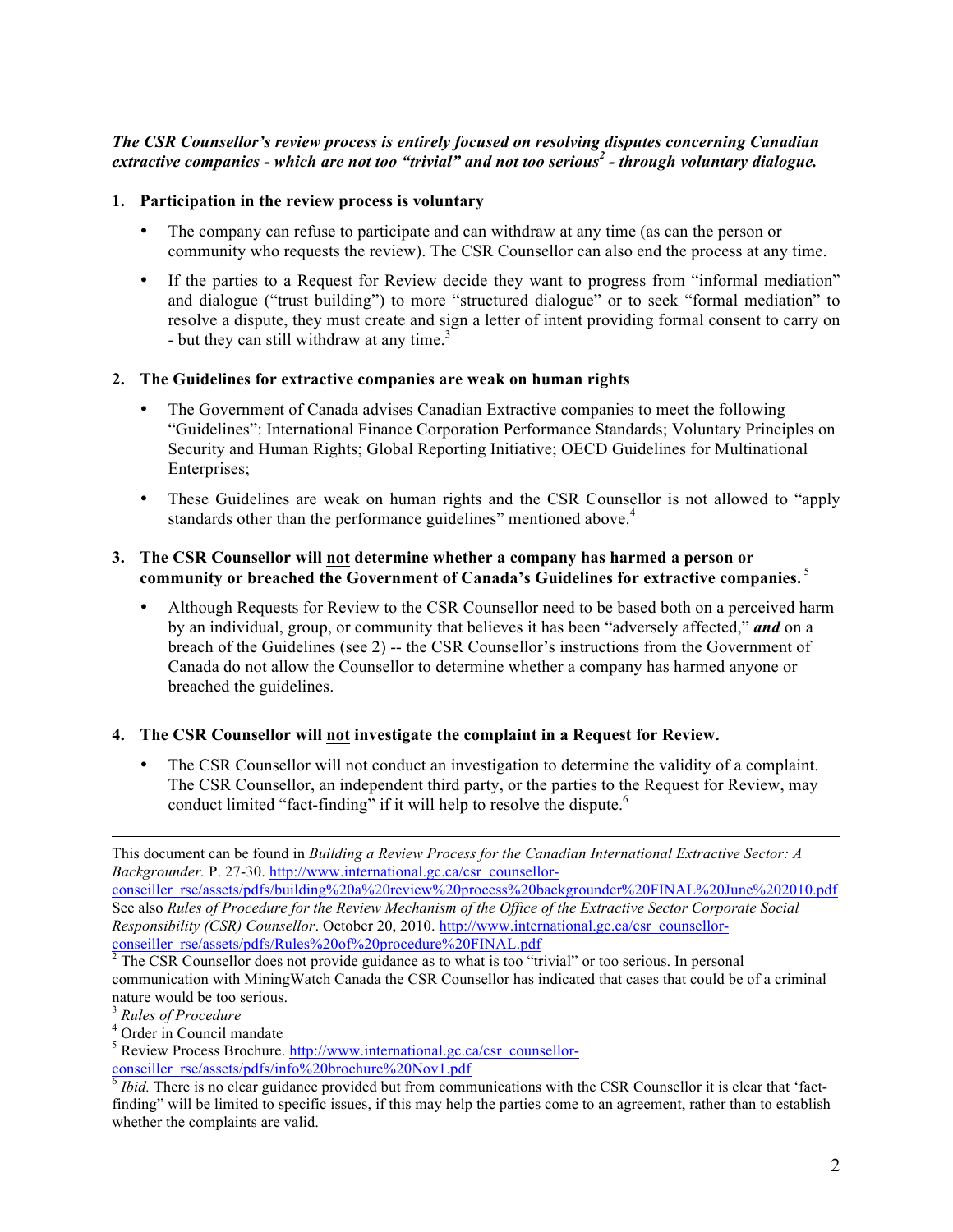# *The CSR Counsellor's review process is entirely focused on resolving disputes concerning Canadian extractive companies - which are not too "trivial" and not too serious<sup>2</sup> - through voluntary dialogue.*

#### **1. Participation in the review process is voluntary**

- The company can refuse to participate and can withdraw at any time (as can the person or community who requests the review). The CSR Counsellor can also end the process at any time.
- If the parties to a Request for Review decide they want to progress from "informal mediation" and dialogue ("trust building") to more "structured dialogue" or to seek "formal mediation" to resolve a dispute, they must create and sign a letter of intent providing formal consent to carry on - but they can still withdraw at any time.<sup>3</sup>

#### **2. The Guidelines for extractive companies are weak on human rights**

- The Government of Canada advises Canadian Extractive companies to meet the following "Guidelines": International Finance Corporation Performance Standards; Voluntary Principles on Security and Human Rights; Global Reporting Initiative; OECD Guidelines for Multinational Enterprises;
- These Guidelines are weak on human rights and the CSR Counsellor is not allowed to "apply standards other than the performance guidelines" mentioned above.<sup>4</sup>

#### **3. The CSR Counsellor will not determine whether a company has harmed a person or community or breached the Government of Canada's Guidelines for extractive companies.** <sup>5</sup>

• Although Requests for Review to the CSR Counsellor need to be based both on a perceived harm by an individual, group, or community that believes it has been "adversely affected," *and* on a breach of the Guidelines (see 2) -- the CSR Counsellor's instructions from the Government of Canada do not allow the Counsellor to determine whether a company has harmed anyone or breached the guidelines.

# **4. The CSR Counsellor will not investigate the complaint in a Request for Review.**

• The CSR Counsellor will not conduct an investigation to determine the validity of a complaint. The CSR Counsellor, an independent third party, or the parties to the Request for Review, may conduct limited "fact-finding" if it will help to resolve the dispute.<sup>6</sup>

This document can be found in *Building a Review Process for the Canadian International Extractive Sector: A Backgrounder.* P. 27-30. http://www.international.gc.ca/csr\_counsellor-

conseiller\_rse/assets/pdfs/building%20a%20review%20process%20backgrounder%20FINAL%20June%202010.pdf See also *Rules of Procedure for the Review Mechanism of the Office of the Extractive Sector Corporate Social Responsibility (CSR) Counsellor*. October 20, 2010. http://www.international.gc.ca/csr\_counsellorconseiller\_rse/assets/pdfs/Rules%20of%20procedure%20FINAL.pdf

 $2^2$  The CSR Counsellor does not provide guidance as to what is too "trivial" or too serious. In personal communication with MiningWatch Canada the CSR Counsellor has indicated that cases that could be of a criminal nature would be too serious.

<sup>3</sup> *Rules of Procedure*

<sup>&</sup>lt;sup>4</sup> Order in Council mandate

<sup>&</sup>lt;sup>5</sup> Review Process Brochure. http://www.international.gc.ca/csr\_counsellorconseiller\_rse/assets/pdfs/info%20brochure%20Nov1.pdf

<sup>6</sup> *Ibid.* There is no clear guidance provided but from communications with the CSR Counsellor it is clear that 'factfinding" will be limited to specific issues, if this may help the parties come to an agreement, rather than to establish whether the complaints are valid.